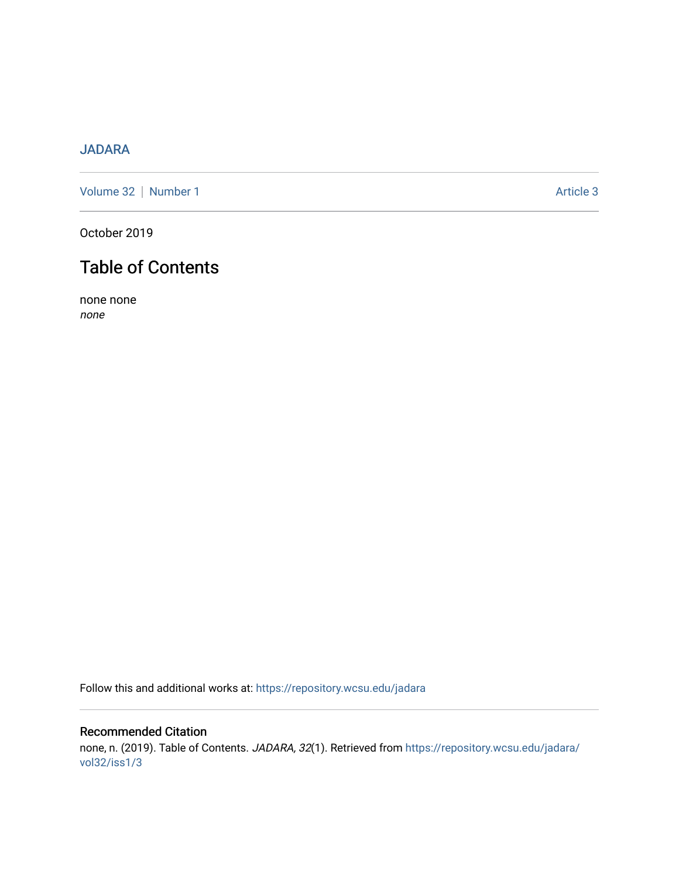## [JADARA](https://repository.wcsu.edu/jadara)

[Volume 32](https://repository.wcsu.edu/jadara/vol32) | [Number 1](https://repository.wcsu.edu/jadara/vol32/iss1) Article 3

October 2019

# Table of Contents

none none none

Follow this and additional works at: [https://repository.wcsu.edu/jadara](https://repository.wcsu.edu/jadara?utm_source=repository.wcsu.edu%2Fjadara%2Fvol32%2Fiss1%2F3&utm_medium=PDF&utm_campaign=PDFCoverPages)

### Recommended Citation none, n. (2019). Table of Contents. JADARA, 32(1). Retrieved from [https://repository.wcsu.edu/jadara/](https://repository.wcsu.edu/jadara/vol32/iss1/3?utm_source=repository.wcsu.edu%2Fjadara%2Fvol32%2Fiss1%2F3&utm_medium=PDF&utm_campaign=PDFCoverPages) [vol32/iss1/3](https://repository.wcsu.edu/jadara/vol32/iss1/3?utm_source=repository.wcsu.edu%2Fjadara%2Fvol32%2Fiss1%2F3&utm_medium=PDF&utm_campaign=PDFCoverPages)